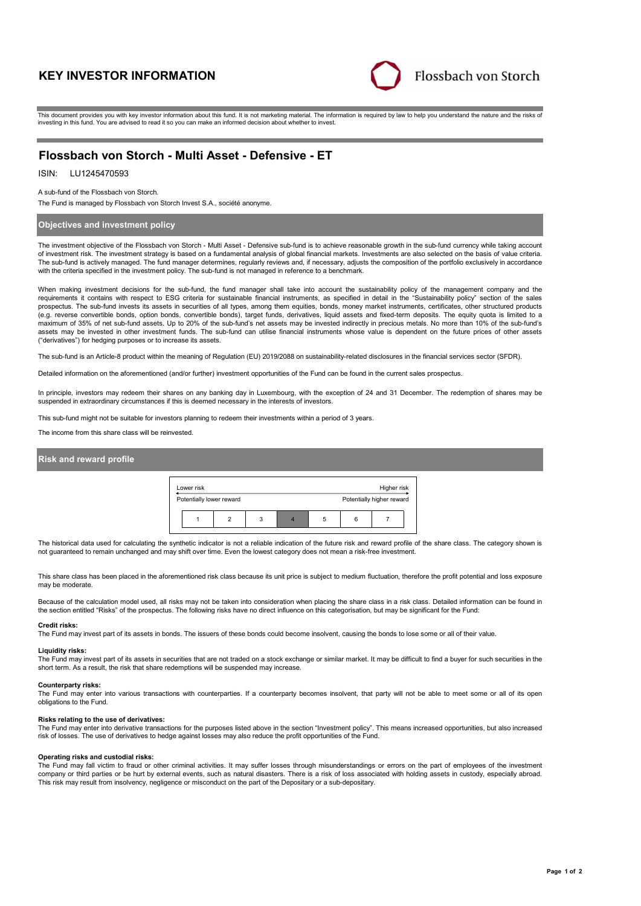# **KEY INVESTOR INFORMATION**



This document provides you with key investor information about this fund. It is not marketing material. The information is required by law to help you understand the nature and the risks of investing in this fund. You are advised to read it so you can make an informed decision about whether to invest.

# **Flossbach von Storch - Multi Asset - Defensive - ET**

### ISIN: LU1245470593

A sub-fund of the Flossbach von Storch.

The Fund is managed by Flossbach von Storch Invest S.A., société anonyme.

### **Objectives and investment policy**

The investment objective of the Flossbach von Storch - Multi Asset - Defensive sub-fund is to achieve reasonable growth in the sub-fund currency while taking account of investment risk. The investment strategy is based on a fundamental analysis of global financial markets. Investments are also selected on the basis of value criteria. The sub-fund is actively managed. The fund manager determines, regularly reviews and, if necessary, adjusts the composition of the portfolio exclusively in accordance with the criteria specified in the investment policy. The sub-fund is not managed in reference to a benchmark.

When making investment decisions for the sub-fund, the fund manager shall take into account the sustainability policy of the management company and the requirements it contains with respect to ESG criteria for sustainable financial instruments, as specified in detail in the "Sustainability policy" section of the sales prospectus. The sub-fund invests its assets in securities of all types, among them equities, bonds, money market instruments, certificates, other structured products (e.g. reverse convertible bonds, option bonds, convertible bonds), target funds, derivatives, liquid assets and fixed-term deposits. The equity quota is limited to a maximum of 35% of net sub-fund assets. Up to 20% of the sub-fund's net assets may be invested indirectly in precious metals. No more than 10% of the sub-fund's assets may be invested in other investment funds. The sub-fund can utilise financial instruments whose value is dependent on the future prices of other assets ("derivatives") for hedging purposes or to increase its assets.

The sub-fund is an Article-8 product within the meaning of Regulation (EU) 2019/2088 on sustainability-related disclosures in the financial services sector (SFDR).

Detailed information on the aforementioned (and/or further) investment opportunities of the Fund can be found in the current sales prospectus.

In principle, investors may redeem their shares on any banking day in Luxembourg, with the exception of 24 and 31 December. The redemption of shares may be suspended in extraordinary circumstances if this is deemed necessary in the interests of investors.

This sub-fund might not be suitable for investors planning to redeem their investments within a period of 3 years.

The income from this share class will be reinvested.

## **Risk and reward profile**

| Lower risk               |   | Higher risk |   |   |                           |  |
|--------------------------|---|-------------|---|---|---------------------------|--|
| Potentially lower reward |   |             |   |   | Potentially higher reward |  |
|                          | 3 |             | 5 | 6 |                           |  |

The historical data used for calculating the synthetic indicator is not a reliable indication of the future risk and reward profile of the share class. The category shown is not guaranteed to remain unchanged and may shift over time. Even the lowest category does not mean a risk-free investment.

This share class has been placed in the aforementioned risk class because its unit price is subject to medium fluctuation, therefore the profit potential and loss exposure may be moderate.

Because of the calculation model used, all risks may not be taken into consideration when placing the share class in a risk class. Detailed information can be found in the section entitled "Risks" of the prospectus. The following risks have no direct influence on this categorisation, but may be significant for the Fund:

#### **Credit risks:**

The Fund may invest part of its assets in bonds. The issuers of these bonds could become insolvent, causing the bonds to lose some or all of their value.

#### **Liquidity risks:**

The Fund may invest part of its assets in securities that are not traded on a stock exchange or similar market. It may be difficult to find a buver for such securities in the short term. As a result, the risk that share redemptions will be suspended may increase.

#### **Counterparty risks:**

The Fund may enter into various transactions with counterparties. If a counterparty becomes insolvent, that party will not be able to meet some or all of its open obligations to the Fund.

#### **Risks relating to the use of derivatives:**

The Fund may enter into derivative transactions for the purposes listed above in the section "Investment policy". This means increased opportunities, but also increased risk of losses. The use of derivatives to hedge against losses may also reduce the profit opportunities of the Fund.

### **Operating risks and custodial risks:**

The Fund may fall victim to fraud or other criminal activities. It may suffer losses through misunderstandings or errors on the part of employees of the investment company or third parties or be hurt by external events, such as natural disasters. There is a risk of loss associated with holding assets in custody, especially abroad. This risk may result from insolvency, negligence or misconduct on the part of the Depositary or a sub-depositary.